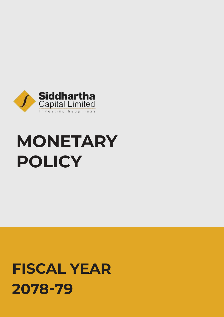

# **MONETARY POLICY**

## **FISCAL YEAR 2078-79**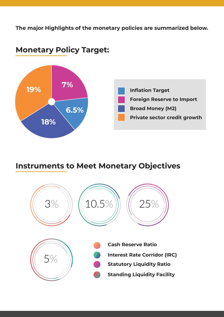**The major Highlights of the monetary policies are summarized below.**



#### **Monetary Policy Target:**

#### **Instruments to Meet Monetary Objectives**

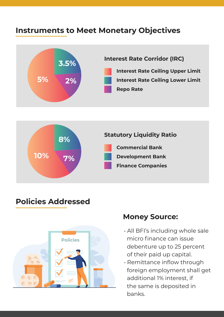#### **Instruments to Meet Monetary Objectives**





#### **Policies Addressed**



#### **Money Source:**

- . All BFI's including whole sale micro finance can issue debenture up to 25 percent of their paid up capital.
- Remittance inflow through foreign employment shall get additional 1% interest, if the same is deposited in banks.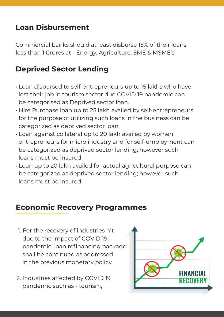#### **Loan Disbursement**

Commercial banks should at least disburse 15% of their loans, less than 1 Crores at - Energy, Agriculture, SME & MSME's

#### **Deprived Sector Lending**

- $\cdot$  Loan disbursed to self-entrepreneurs up to 15 lakhs who have lost their job in tourism sector due COVID 19 pandemic can be categorised as Deprived sector loan.
- $\cdot$  Hire Purchase loan up to 25 lakh availed by self-entrepreneurs for the purpose of utilizing such loans in the business can be categorized as deprived sector loan.
- $\cdot$  Loan against collateral up to 20 lakh availed by women entrepreneurs for micro industry and for self-employment can be categorized as deprived sector lending; however such loans must be insured.
- $\cdot$  Loan up to 20 lakh availed for actual agricultural purpose can be categorized as deprived sector lending; however such loans must be insured.

#### **Economic Recovery Programmes**

- 1. For the recovery of industries hit due to the impact of COVID 19 pandemic, loan refinancing package shall be continued as addressed in the previous monetary policy.
- 2. Industries affected by COVID 19 pandemic such as - tourism,

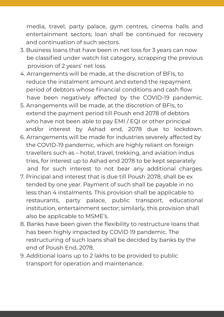media, travel, party palace, gym centres, cinema halls and entertainment sectors; loan shall be continued for recovery and continuation of such sectors.

- 3. Business loans that have been in net loss for 3 years can now be classified under watch list category, scrapping the previous provision of 2 years' net loss.
- 4. Arrangements will be made, at the discretion of BFIs, to reduce the instalment amount and extend the repayment period of debtors whose financial conditions and cash flow have been negatively affected by the COVID-19 pandemic.
- 5. Arrangements will be made, at the discretion of BFIs, to extend the payment period till Poush end 2078 of debtors who have not been able to pay EMI / EQI or other principal and/or interest by Ashad end, 2078 due to lockdown.
- 6. Arrangements will be made for industries severely affected by the COVID-19 pandemic, which are highly reliant on foreign travellers such as – hotel, travel, trekking, and aviation indus tries, for interest up to Ashad end 2078 to be kept separately and for such interest to not bear any additional charges.
- 7. Principal and interest that is due till Poush 2078, shall be ex tended by one year. Payment of such shall be payable in no less than 4 instalments. This provision shall be applicable to restaurants, party palace, public transport, educational institution, entertainment sector; similarly, this provision shall also be applicable to MSME's.
- 8. Banks have been given the flexibility to restructure loans that has been highly impacted by COVID 19 pandemic. The restructuring of such loans shall be decided by banks by the end of Poush End, 2078.
- 9. Additional loans up to 2 lakhs to be provided to public transport for operation and maintenance.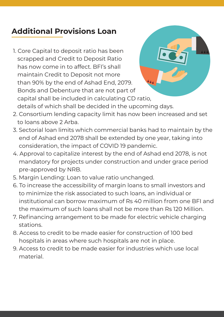## **Additional Provisions Loan**

1. Core Capital to deposit ratio has been scrapped and Credit to Deposit Ratio has now come in to affect. BFI's shall maintain Credit to Deposit not more than 90% by the end of Ashad End, 2079. Bonds and Debenture that are not part of capital shall be included in calculating CD ratio, details of which shall be decided in the upcoming days.



- 2. Consortium lending capacity limit has now been increased and set to loans above 2 Arba.
- 3. Sectorial loan limits which commercial banks had to maintain by the end of Ashad end 2078 shall be extended by one year, taking into consideration, the impact of COVID 19 pandemic.
- 4. Approval to capitalize interest by the end of Ashad end 2078, is not mandatory for projects under construction and under grace period pre-approved by NRB.
- 5. Margin Lending: Loan to value ratio unchanged.
- 6. To increase the accessibility of margin loans to small investors and to minimize the risk associated to such loans, an individual or institutional can borrow maximum of Rs 40 million from one BFI and the maximum of such loans shall not be more than Rs 120 Million.
- 7. Refinancing arrangement to be made for electric vehicle charging stations.
- 8. Access to credit to be made easier for construction of 100 bed hospitals in areas where such hospitals are not in place.
- 9. Access to credit to be made easier for industries which use local material.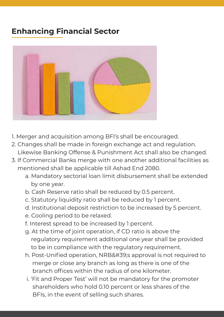## **Enhancing Financial Sector**



- 1. Merger and acquisition among BFI's shall be encouraged.
- 2. Changes shall be made in foreign exchange act and regulation. Likewise Banking Offense & Punishment Act shall also be changed.
- 3. If Commercial Banks merge with one another additional facilities as mentioned shall be applicable till Ashad End 2080.
	- a. Mandatory sectorial loan limit disbursement shall be extended by one year.
	- b. Cash Reserve ratio shall be reduced by 0.5 percent.
	- c. Statutory liquidity ratio shall be reduced by 1 percent.
	- d. Institutional deposit restriction to be increased by 5 percent.
	- e. Cooling period to be relaxed.
	- f. Interest spread to be increased by 1 percent.
	- g. At the time of joint operation, if CD ratio is above the regulatory requirement additional one year shall be provided to be in compliance with the regulatory requirement.
	- h. Post-Unified operation, NRB' sapproval is not required to merge or close any branch as long as there is one of the branch offices within the radius of one kilometer.
	- i. 'Fit and Proper Test' will not be mandatory for the promoter shareholders who hold 0.10 percent or less shares of the BFIs, in the event of selling such shares.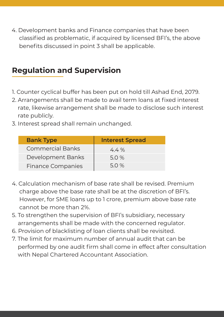4. Development banks and Finance companies that have been classified as problematic, if acquired by licensed BFI's, the above benefits discussed in point 3 shall be applicable.

### **Regulation and Supervision**

- 1. Counter cyclical buffer has been put on hold till Ashad End, 2079.
- 2. Arrangements shall be made to avail term loans at fixed interest rate, likewise arrangement shall be made to disclose such interest rate publicly.
- 3. Interest spread shall remain unchanged.

| <b>Bank Type</b>         | <b>Interest Spread</b> |
|--------------------------|------------------------|
| <b>Commercial Banks</b>  | $4.4\%$                |
| Development Banks        | 5.0%                   |
| <b>Finance Companies</b> | 5.0 %                  |

- 4. Calculation mechanism of base rate shall be revised. Premium charge above the base rate shall be at the discretion of BFI's. However, for SME loans up to 1 crore, premium above base rate cannot be more than 2%.
- 5. To strengthen the supervision of BFI's subsidiary, necessary arrangements shall be made with the concerned regulator.
- 6. Provision of blacklisting of loan clients shall be revisited.
- 7. The limit for maximum number of annual audit that can be performed by one audit firm shall come in effect after consultation with Nepal Chartered Accountant Association.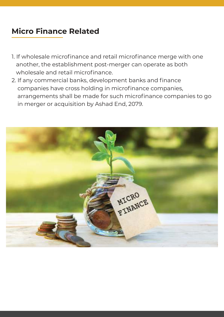## **Micro Finance Related**

- 1. If wholesale microfinance and retail microfinance merge with one another, the establishment post-merger can operate as both wholesale and retail microfinance.
- 2. If any commercial banks, development banks and finance companies have cross holding in microfinance companies, arrangements shall be made for such microfinance companies to go in merger or acquisition by Ashad End, 2079.